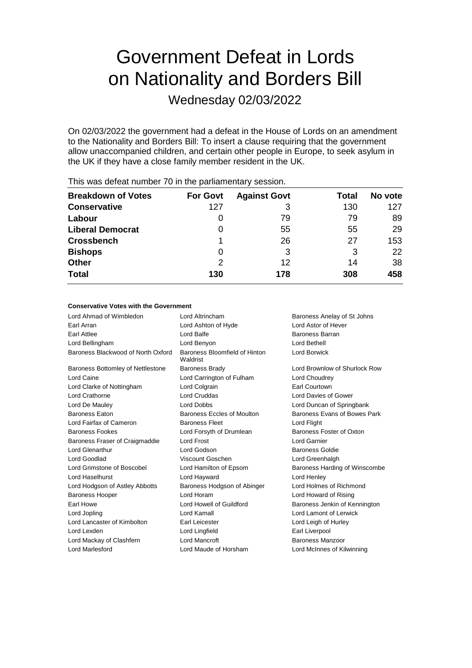# Government Defeat in Lords on Nationality and Borders Bill

Wednesday 02/03/2022

On 02/03/2022 the government had a defeat in the House of Lords on an amendment to the Nationality and Borders Bill: To insert a clause requiring that the government allow unaccompanied children, and certain other people in Europe, to seek asylum in the UK if they have a close family member resident in the UK.

| <b>For Govt</b> | <b>Against Govt</b> | Total | No vote |
|-----------------|---------------------|-------|---------|
| 127             | 3                   | 130   | 127     |
| $\Omega$        | 79                  | 79    | 89      |
| 0               | 55                  | 55    | 29      |
|                 | 26                  | 27    | 153     |
| 0               | 3                   | 3     | 22      |
| 2               | 12                  | 14    | 38      |
| 130             | 178                 | 308   | 458     |
|                 |                     |       |         |

This was defeat number 70 in the parliamentary session.

### **Conservative Votes with the Government**

| Lord Ahmad of Wimbledon            | Lord Altrincham                           | Baroness Anelay of St Johns   |
|------------------------------------|-------------------------------------------|-------------------------------|
| Earl Arran                         | Lord Ashton of Hyde                       | Lord Astor of Hever           |
| Earl Attlee                        | Lord Balfe                                | Baroness Barran               |
| Lord Bellingham                    | Lord Benyon                               | Lord Bethell                  |
| Baroness Blackwood of North Oxford | Baroness Bloomfield of Hinton<br>Waldrist | Lord Borwick                  |
| Baroness Bottomley of Nettlestone  | <b>Baroness Brady</b>                     | Lord Brownlow of Shurlock Row |
| Lord Caine                         | Lord Carrington of Fulham                 | Lord Choudrey                 |
| Lord Clarke of Nottingham          | Lord Colgrain                             | Earl Courtown                 |
| Lord Crathorne                     | <b>Lord Cruddas</b>                       | Lord Davies of Gower          |
| Lord De Mauley                     | <b>Lord Dobbs</b>                         | Lord Duncan of Springbank     |
| <b>Baroness Eaton</b>              | Baroness Eccles of Moulton                | Baroness Evans of Bowes Park  |
| Lord Fairfax of Cameron            | <b>Baroness Fleet</b>                     | Lord Flight                   |
| <b>Baroness Fookes</b>             | Lord Forsyth of Drumlean                  | Baroness Foster of Oxton      |
| Baroness Fraser of Craigmaddie     | Lord Frost                                | Lord Garnier                  |
| <b>Lord Glenarthur</b>             | Lord Godson                               | <b>Baroness Goldie</b>        |
| Lord Goodlad                       | Viscount Goschen                          | Lord Greenhalgh               |
| Lord Grimstone of Boscobel         | Lord Hamilton of Epsom                    | Baroness Harding of Winscombe |
| Lord Haselhurst                    | Lord Hayward                              | Lord Henley                   |
| Lord Hodgson of Astley Abbotts     | Baroness Hodgson of Abinger               | Lord Holmes of Richmond       |
| <b>Baroness Hooper</b>             | Lord Horam                                | Lord Howard of Rising         |
| Earl Howe                          | Lord Howell of Guildford                  | Baroness Jenkin of Kennington |
| Lord Jopling                       | Lord Kamall                               | Lord Lamont of Lerwick        |
| Lord Lancaster of Kimbolton        | Earl Leicester                            | Lord Leigh of Hurley          |
| Lord Lexden                        | Lord Lingfield                            | Earl Liverpool                |
| Lord Mackay of Clashfern           | <b>Lord Mancroft</b>                      | <b>Baroness Manzoor</b>       |
| <b>Lord Marlesford</b>             | Lord Maude of Horsham                     | Lord McInnes of Kilwinning    |
|                                    |                                           |                               |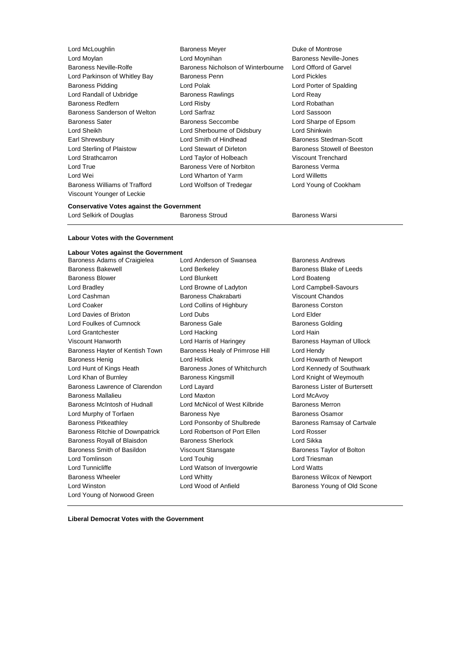**Lord McLoughlin Community Community** Baroness Meyer Community Duke of Montrose Lord Moylan Lord Moynihan Baroness Neville-Jones Baroness Neville-Rolfe **Baroness Nicholson of Winterbourne** Lord Offord of Garvel Lord Parkinson of Whitley Bay Baroness Penn Lord Pickles Baroness Pidding Lord Polak Lord Porter of Spalding Lord Randall of Uxbridge **Baroness Rawlings Lord Reay** Baroness Redfern **Lord Risby** Lord Risby **Lord Robathan** Baroness Sanderson of Welton Lord Sarfraz Lord Sassoon Baroness Sater Baroness Seccombe Lord Sharpe of Epsom Lord Sheikh Lord Sherbourne of Didsbury Lord Shinkwin Earl Shrewsbury **Lord Smith of Hindhead** Baroness Stedman-Scott Lord Sterling of Plaistow Lord Stewart of Dirleton Baroness Stowell of Beeston Lord Strathcarron Lord Taylor of Holbeach Viscount Trenchard Lord True **Baroness Vere of Norbiton** Baroness Verma Lord Wei Lord Wharton of Yarm Lord Willetts Baroness Williams of Trafford Lord Wolfson of Tredegar Lord Young of Cookham Viscount Younger of Leckie

### **Conservative Votes against the Government**

Lord Selkirk of Douglas **Baroness Stroud** Baroness Warsi

### **Labour Votes with the Government**

## **Labour Votes against the Government**

Baroness Adams of Craigielea Lord Anderson of Swansea Baroness Andrews Baroness Bakewell **Baroness Blake of Leeds** Lord Berkeley **Baroness Blake of Leeds** Baroness Blower Lord Blunkett Lord Boateng Lord Bradley Lord Browne of Ladyton Lord Campbell-Savours Lord Cashman Baroness Chakrabarti Viscount Chandos Lord Coaker **Lord Collins of Highbury** Baroness Corston Lord Davies of Brixton Lord Dubs Lord Elder Lord Foulkes of Cumnock Baroness Gale Baroness Gale Baroness Golding Lord Grantchester **Lord Hacking** Lord Hacking Lord Hain Viscount Hanworth **Lord Harris of Haringey** Baroness Hayman of Ullock Baroness Hayter of Kentish Town Baroness Healy of Primrose Hill Lord Hendy Baroness Henig Lord Hollick Lord Howarth of Newport Lord Hunt of Kings Heath **Baroness Jones of Whitchurch** Lord Kennedy of Southwark Lord Khan of Burnley Baroness Kingsmill Lord Knight of Weymouth Baroness Lawrence of Clarendon Lord Layard **Baroness Lister of Burtersett** Baroness Mallalieu Lord Maxton Lord McAvoy Baroness McIntosh of Hudnall Lord McNicol of West Kilbride Baroness Merron Lord Murphy of Torfaen **Baroness Nye** Baroness Osamor Baroness Pitkeathley **Lord Ponsonby of Shulbrede** Baroness Ramsay of Cartvale Baroness Ritchie of Downpatrick Lord Robertson of Port Ellen Lord Rosser Baroness Royall of Blaisdon Baroness Sherlock Lord Sikka Baroness Smith of Basildon Viscount Stansgate Baroness Taylor of Bolton Lord Tomlinson **Lord Touhig Lord Touhig Lord Triesman** Lord Tunnicliffe Lord Watson of Invergowrie Lord Watts Baroness Wheeler **Example 2** Lord Whitty **Baroness Wilcox of Newport** Lord Winston Lord Wood of Anfield Baroness Young of Old Scone Lord Young of Norwood Green

**Liberal Democrat Votes with the Government**